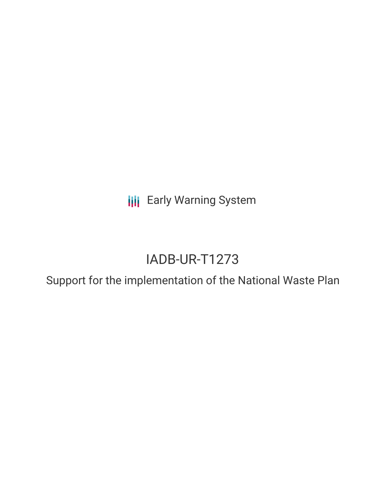**III** Early Warning System

# IADB-UR-T1273

Support for the implementation of the National Waste Plan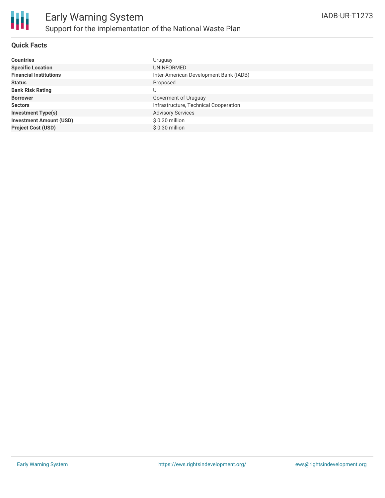### **Quick Facts**

| <b>Countries</b>               | Uruguay                                |
|--------------------------------|----------------------------------------|
| <b>Specific Location</b>       | UNINFORMED                             |
| <b>Financial Institutions</b>  | Inter-American Development Bank (IADB) |
| <b>Status</b>                  | Proposed                               |
| <b>Bank Risk Rating</b>        | U                                      |
| <b>Borrower</b>                | Goverment of Uruguay                   |
| <b>Sectors</b>                 | Infrastructure, Technical Cooperation  |
| <b>Investment Type(s)</b>      | <b>Advisory Services</b>               |
| <b>Investment Amount (USD)</b> | $$0.30$ million                        |
| <b>Project Cost (USD)</b>      | $$0.30$ million                        |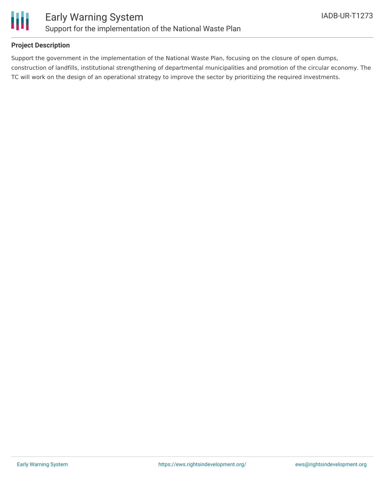

### **Project Description**

Support the government in the implementation of the National Waste Plan, focusing on the closure of open dumps, construction of landfills, institutional strengthening of departmental municipalities and promotion of the circular economy. The TC will work on the design of an operational strategy to improve the sector by prioritizing the required investments.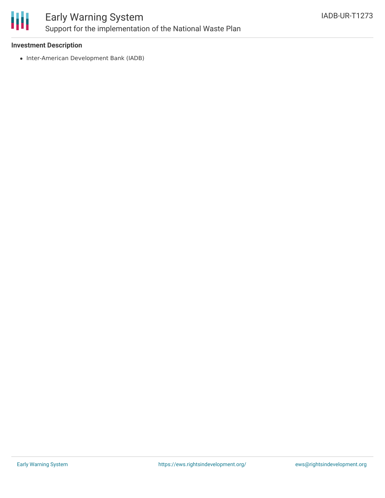

## Early Warning System Support for the implementation of the National Waste Plan

### **Investment Description**

• Inter-American Development Bank (IADB)